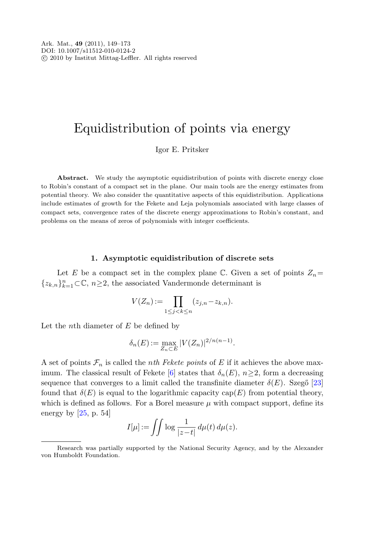# Equidistribution of points via energy

Igor E. Pritsker

Abstract. We study the asymptotic equidistribution of points with discrete energy close to Robin's constant of a compact set in the plane. Our main tools are the energy estimates from potential theory. We also consider the quantitative aspects of this equidistribution. Applications include estimates of growth for the Fekete and Leja polynomials associated with large classes of compact sets, convergence rates of the discrete energy approximations to Robin's constant, and problems on the means of zeros of polynomials with integer coefficients.

#### **1. Asymptotic equidistribution of discrete sets**

Let E be a compact set in the complex plane  $\mathbb C$ . Given a set of points  $Z_n=$ { $z_{k,n}$ }<sub>*k*</sub><sub>-1</sub> ⊂ $\mathbb{C}$ , *n*≥2, the associated Vandermonde determinant is

$$
V(Z_n) := \prod_{1 \le j < k \le n} (z_{j,n} - z_{k,n}).
$$

Let the *n*th diameter of  $E$  be defined by

$$
\delta_n(E) := \max_{Z_n \subset E} |V(Z_n)|^{2/n(n-1)}.
$$

A set of points  $\mathcal{F}_n$  is called the *nth Fekete points* of E if it achieves the above max-imum. The classical result of Fekete [\[6](#page-23-0)] states that  $\delta_n(E)$ ,  $n\geq 2$ , form a decreasing sequence that converges to a limit called the transfinite diameter  $\delta(E)$ . Szegő [[23\]](#page-24-0) found that  $\delta(E)$  is equal to the logarithmic capacity cap(E) from potential theory, which is defined as follows. For a Borel measure  $\mu$  with compact support, define its energy by  $[25, p. 54]$  $[25, p. 54]$  $[25, p. 54]$ 

$$
I[\mu] := \iint \log \frac{1}{|z-t|} \, d\mu(t) \, d\mu(z).
$$

Research was partially supported by the National Security Agency, and by the Alexander von Humboldt Foundation.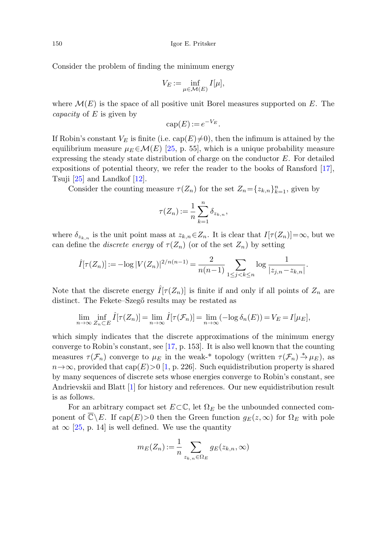Consider the problem of finding the minimum energy

$$
V_E := \inf_{\mu \in \mathcal{M}(E)} I[\mu],
$$

where  $\mathcal{M}(E)$  is the space of all positive unit Borel measures supported on E. The *capacity* of  $E$  is given by

$$
cap(E):=e^{-V_E}.
$$

If Robin's constant  $V_E$  is finite (i.e. cap(E) $\neq$ 0), then the infimum is attained by the equilibrium measure  $\mu_E \in \mathcal{M}(E)$  [\[25](#page-24-1), p. 55], which is a unique probability measure expressing the steady state distribution of charge on the conductor  $E$ . For detailed expositions of potential theory, we refer the reader to the books of Ransford [\[17](#page-24-2)], Tsuji [\[25](#page-24-1)] and Landkof [[12\]](#page-23-1).

Consider the counting measure  $\tau(Z_n)$  for the set  $Z_n = \{z_{k,n}\}_{k=1}^n$ , given by

$$
\tau(Z_n) := \frac{1}{n} \sum_{k=1}^n \delta_{z_{k,n}},
$$

where  $\delta_{z_{k,n}}$  is the unit point mass at  $z_{k,n} \in Z_n$ . It is clear that  $I[\tau(Z_n)] = \infty$ , but we can define the *discrete energy* of  $\tau(Z_n)$  (or of the set  $Z_n$ ) by setting

$$
\hat{I}[\tau(Z_n)] := -\log |V(Z_n)|^{2/n(n-1)} = \frac{2}{n(n-1)} \sum_{1 \le j < k \le n} \log \frac{1}{|z_{j,n} - z_{k,n}|}.
$$

Note that the discrete energy  $\hat{I}[\tau(Z_n)]$  is finite if and only if all points of  $Z_n$  are distinct. The Fekete–Szegő results may be restated as

$$
\lim_{n \to \infty} \inf_{Z_n \subset E} \hat{I}[\tau(Z_n)] = \lim_{n \to \infty} \hat{I}[\tau(\mathcal{F}_n)] = \lim_{n \to \infty} (-\log \delta_n(E)) = V_E = I[\mu_E],
$$

which simply indicates that the discrete approximations of the minimum energy converge to Robin's constant, see [\[17](#page-24-2), p. 153]. It is also well known that the counting measures  $\tau(\mathcal{F}_n)$  converge to  $\mu_E$  in the weak-\* topology (written  $\tau(\mathcal{F}_n) \stackrel{*}{\to} \mu_E$ ), as  $n\rightarrow\infty$ , provided that cap(E)>0 [\[1](#page-23-2), p. 226]. Such equidistribution property is shared by many sequences of discrete sets whose energies converge to Robin's constant, see Andrievskii and Blatt [\[1](#page-23-2)] for history and references. Our new equidistribution result is as follows.

For an arbitrary compact set  $E\subset\mathbb{C}$ , let  $\Omega_E$  be the unbounded connected component of  $\overline{\mathbb{C}}\backslash E$ . If cap $(E)$ >0 then the Green function  $g_E(z,\infty)$  for  $\Omega_E$  with pole at  $\infty$  [\[25](#page-24-1), p. 14] is well defined. We use the quantity

$$
m_E(Z_n) := \frac{1}{n} \sum_{z_{k,n} \in \Omega_E} g_E(z_{k,n}, \infty)
$$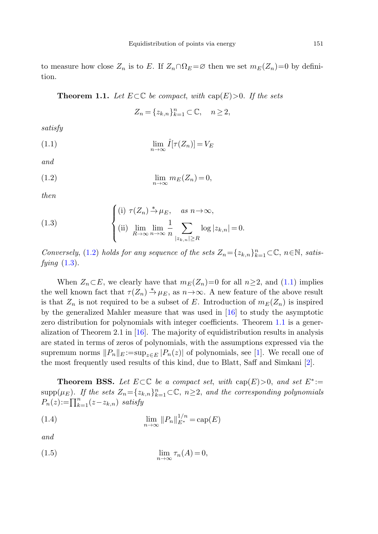<span id="page-2-3"></span><span id="page-2-2"></span>to measure how close  $Z_n$  is to E. If  $Z_n \cap \Omega_E = \emptyset$  then we set  $m_E(Z_n)=0$  by definition.

**Theorem 1.1.** Let  $E \subset \mathbb{C}$  be compact, with  $cap(E) > 0$ . If the sets

$$
Z_n = \{z_{k,n}\}_{k=1}^n \subset \mathbb{C}, \quad n \ge 2,
$$

<span id="page-2-0"></span>satisfy

<span id="page-2-1"></span>
$$
\lim_{n \to \infty} \hat{I}[\tau(Z_n)] = V_E
$$

and

$$
\lim_{n \to \infty} m_E(Z_n) = 0,
$$

then

(1.3) 
$$
\begin{cases} \text{(i)} \ \tau(Z_n) \xrightarrow{\ast} \mu_E, & \text{as } n \to \infty, \\ \text{(ii)} \ \lim_{R \to \infty} \lim_{n \to \infty} \frac{1}{n} \sum_{|z_{k,n}| \ge R} \log |z_{k,n}| = 0. \end{cases}
$$

Conversely, ([1.2](#page-2-0)) holds for any sequence of the sets  $Z_n = \{z_{k,n}\}_{k=1}^n \subset \mathbb{C}$ ,  $n \in \mathbb{N}$ , satisfying  $(1.3)$  $(1.3)$ .

When  $Z_n \subset E$ , we clearly have that  $m_E(Z_n)=0$  for all  $n\geq 2$ , and ([1.1\)](#page-2-2) implies the well known fact that  $\tau(Z_n) \stackrel{*}{\rightarrow} \mu_E$ , as  $n \rightarrow \infty$ . A new feature of the above result is that  $Z_n$  is not required to be a subset of E. Introduction of  $m_E(Z_n)$  is inspired by the generalized Mahler measure that was used in [[16\]](#page-23-3) to study the asymptotic zero distribution for polynomials with integer coefficients. Theorem [1.1](#page-2-3) is a generalization of Theorem 2.1 in [[16\]](#page-23-3). The majority of equidistribution results in analysis are stated in terms of zeros of polynomials, with the assumptions expressed via the supremum norms  $||P_n||_E := \sup_{z \in E} |P_n(z)|$  of polynomials, see [[1\]](#page-23-2). We recall one of the most frequently used results of this kind, due to Blatt, Saff and Simkani [[2\]](#page-23-4).

<span id="page-2-5"></span><span id="page-2-4"></span>**Theorem BSS.** Let  $E \subset \mathbb{C}$  be a compact set, with cap(E)>0, and set  $E^* :=$  $\text{supp}(\mu_E)$ . If the sets  $Z_n = \{z_{k,n}\}_{k=1}^n \subset \mathbb{C}, n \geq 2$ , and the corresponding polynomials  $P_n(z) := \prod_{k=1}^n (z - z_{k,n})$  satisfy

(1.4) 
$$
\lim_{n \to \infty} ||P_n||_{E^*}^{1/n} = \text{cap}(E)
$$

and

(1.5) 
$$
\lim_{n \to \infty} \tau_n(A) = 0,
$$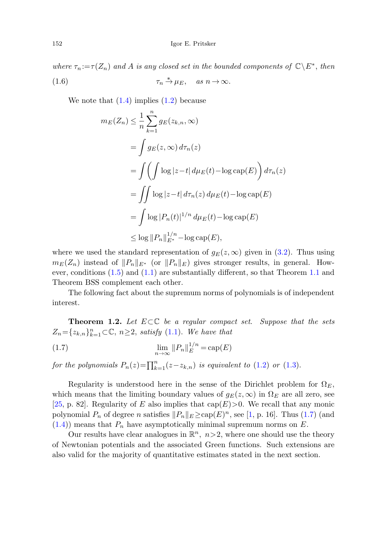where  $\tau_n := \tau(Z_n)$  and A is any closed set in the bounded components of  $\mathbb{C} \backslash E^*$ , then (1.6)  $\tau_n \stackrel{*}{\to} \mu_E$ , as  $n \to \infty$ .

We note that  $(1.4)$  $(1.4)$  implies  $(1.2)$  $(1.2)$  because

$$
m_E(Z_n) \leq \frac{1}{n} \sum_{k=1}^n g_E(z_{k,n}, \infty)
$$
  
= 
$$
\int g_E(z, \infty) d\tau_n(z)
$$
  
= 
$$
\int \left( \int \log |z - t| d\mu_E(t) - \log \text{cap}(E) \right) d\tau_n(z)
$$
  
= 
$$
\int \int \log |z - t| d\tau_n(z) d\mu_E(t) - \log \text{cap}(E)
$$
  
= 
$$
\int \log |P_n(t)|^{1/n} d\mu_E(t) - \log \text{cap}(E)
$$
  
\$\leq \log ||P\_n||\_{E^\*}^{1/n} - \log \text{cap}(E)\$,

<span id="page-3-1"></span>where we used the standard representation of  $g_E(z,\infty)$  given in ([3.2\)](#page-9-0). Thus using  $m_E(Z_n)$  instead of  $||P_n||_{E^*}$  (or  $||P_n||_E$ ) gives stronger results, in general. However, conditions [\(1.5](#page-2-5)) and ([1.1](#page-2-2)) are substantially different, so that Theorem [1.1](#page-2-3) and Theorem BSS complement each other.

<span id="page-3-0"></span>The following fact about the supremum norms of polynomials is of independent interest.

**Theorem 1.2.** Let  $E \subset \mathbb{C}$  be a regular compact set. Suppose that the sets  $Z_n = \{z_{k,n}\}_{k=1}^n \subset \mathbb{C}, n \geq 2$ , satisfy [\(1.1\)](#page-2-2). We have that

(1.7) 
$$
\lim_{n \to \infty} ||P_n||_E^{1/n} = \text{cap}(E)
$$

for the polynomials  $P_n(z) = \prod_{k=1}^n (z-z_{k,n})$  is equivalent to ([1.2\)](#page-2-0) or ([1.3\)](#page-2-1).

Regularity is understood here in the sense of the Dirichlet problem for  $\Omega_E$ , which means that the limiting boundary values of  $g_E(z,\infty)$  in  $\Omega_E$  are all zero, see [\[25](#page-24-1), p. 82]. Regularity of E also implies that cap(E)>0. We recall that any monic polynomial  $P_n$  of degree n satisfies  $||P_n||_E \geq \text{cap}(E)^n$ , see [[1,](#page-23-2) p. 16]. Thus [\(1.7\)](#page-3-0) (and  $(1.4)$  $(1.4)$  $(1.4)$  means that  $P_n$  have asymptotically minimal supremum norms on E.

Our results have clear analogues in  $\mathbb{R}^n$ ,  $n>2$ , where one should use the theory of Newtonian potentials and the associated Green functions. Such extensions are also valid for the majority of quantitative estimates stated in the next section.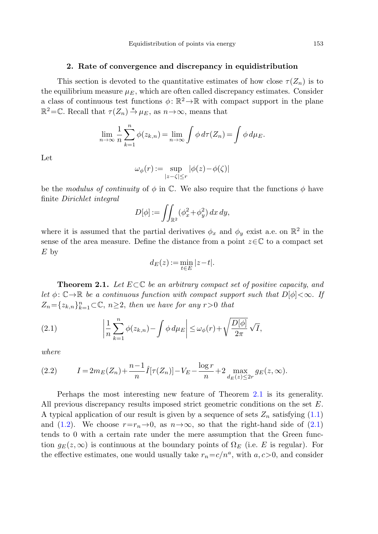#### **2. Rate of convergence and discrepancy in equidistribution**

This section is devoted to the quantitative estimates of how close  $\tau(Z_n)$  is to the equilibrium measure  $\mu_E$ , which are often called discrepancy estimates. Consider a class of continuous test functions  $\phi: \mathbb{R}^2 \to \mathbb{R}$  with compact support in the plane  $\mathbb{R}^2$ =C. Recall that  $\tau(Z_n) \stackrel{*}{\to} \mu_E$ , as  $n \to \infty$ , means that

$$
\lim_{n \to \infty} \frac{1}{n} \sum_{k=1}^{n} \phi(z_{k,n}) = \lim_{n \to \infty} \int \phi \, d\tau (Z_n) = \int \phi \, d\mu_E.
$$

Let

$$
\omega_{\phi}(r) := \sup_{|z-\zeta| \le r} |\phi(z) - \phi(\zeta)|
$$

be the modulus of continuity of  $\phi$  in  $\mathbb{C}$ . We also require that the functions  $\phi$  have finite Dirichlet integral

$$
D[\phi] := \iint_{\mathbb{R}^2} (\phi_x^2 + \phi_y^2) \, dx \, dy,
$$

<span id="page-4-1"></span><span id="page-4-0"></span>where it is assumed that the partial derivatives  $\phi_x$  and  $\phi_y$  exist a.e. on  $\mathbb{R}^2$  in the sense of the area measure. Define the distance from a point  $z \in \mathbb{C}$  to a compact set E by

$$
d_E(z) := \min_{t \in E} |z - t|.
$$

<span id="page-4-2"></span>**Theorem 2.1.** Let  $E \subset \mathbb{C}$  be an arbitrary compact set of positive capacity, and let  $\phi: \mathbb{C} \to \mathbb{R}$  be a continuous function with compact support such that  $D[\phi]<\infty$ . If  $Z_n = \{z_{k,n}\}_{k=1}^n \subset \mathbb{C}, n \geq 2$ , then we have for any  $r > 0$  that

(2.1) 
$$
\left|\frac{1}{n}\sum_{k=1}^n \phi(z_{k,n}) - \int \phi \, d\mu_E\right| \le \omega_\phi(r) + \sqrt{\frac{D[\phi]}{2\pi}} \sqrt{I},
$$

where

(2.2) 
$$
I = 2m_E(Z_n) + \frac{n-1}{n}\hat{I}[\tau(Z_n)] - V_E - \frac{\log r}{n} + 2 \max_{d_E(z) \le 2r} g_E(z, \infty).
$$

Perhaps the most interesting new feature of Theorem [2.1](#page-4-0) is its generality. All previous discrepancy results imposed strict geometric conditions on the set E. A typical application of our result is given by a sequence of sets  $Z_n$  satisfying  $(1.1)$  $(1.1)$ and [\(1.2\)](#page-2-0). We choose  $r=r_n\to 0$ , as  $n\to\infty$ , so that the right-hand side of ([2.1\)](#page-4-1) tends to 0 with a certain rate under the mere assumption that the Green function  $g_E(z,\infty)$  is continuous at the boundary points of  $\Omega_E$  (i.e. E is regular). For the effective estimates, one would usually take  $r_n = c/n^a$ , with  $a, c > 0$ , and consider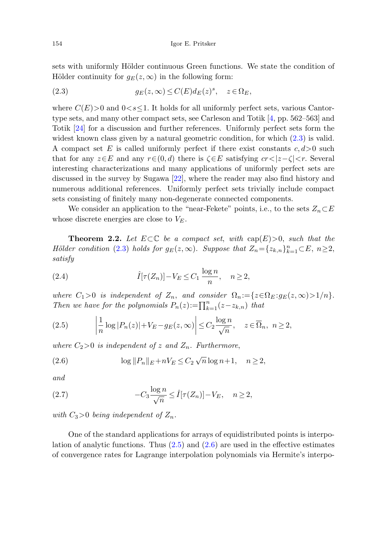<span id="page-5-0"></span>sets with uniformly Hölder continuous Green functions. We state the condition of Hölder continuity for  $q_E(z,\infty)$  in the following form:

(2.3) 
$$
g_E(z,\infty) \le C(E) d_E(z)^s, \quad z \in \Omega_E,
$$

where  $C(E) > 0$  and  $0 < s < 1$ . It holds for all uniformly perfect sets, various Cantortype sets, and many other compact sets, see Carleson and Totik [[4,](#page-23-5) pp. 562–563] and Totik [\[24](#page-24-3)] for a discussion and further references. Uniformly perfect sets form the widest known class given by a natural geometric condition, for which [\(2.3](#page-5-0)) is valid. A compact set E is called uniformly perfect if there exist constants  $c, d > 0$  such that for any  $z \in E$  and any  $r \in (0, d)$  there is  $\zeta \in E$  satisfying  $cr < |z-\zeta| < r$ . Several interesting characterizations and many applications of uniformly perfect sets are discussed in the survey by Sugawa [[22\]](#page-24-4), where the reader may also find history and numerous additional references. Uniformly perfect sets trivially include compact sets consisting of finitely many non-degenerate connected components.

<span id="page-5-4"></span><span id="page-5-3"></span>We consider an application to the "near-Fekete" points, i.e., to the sets  $Z_n \subset E$ whose discrete energies are close to  $V_E$ .

<span id="page-5-1"></span>**Theorem 2.2.** Let  $E \subset \mathbb{C}$  be a compact set, with  $cap(E) > 0$ , such that the Hölder condition [\(2.3\)](#page-5-0) holds for  $g_E(z,\infty)$ . Suppose that  $Z_n = \{z_{k,n}\}_{k=1}^n \subset E$ ,  $n \ge 2$ , satisfy

(2.4) 
$$
\hat{I}[\tau(Z_n)] - V_E \leq C_1 \frac{\log n}{n}, \quad n \geq 2,
$$

<span id="page-5-2"></span>where  $C_1>0$  is independent of  $Z_n$ , and consider  $\Omega_n := \{z \in \Omega_E : g_E(z, \infty) > 1/n\}.$ Then we have for the polynomials  $P_n(z) := \prod_{k=1}^n (z - z_{k,n})$  that

<span id="page-5-5"></span>(2.5) 
$$
\left|\frac{1}{n}\log|P_n(z)|+V_E-g_E(z,\infty)\right|\leq C_2\frac{\log n}{\sqrt{n}}, \quad z\in\overline{\Omega}_n, \quad n\geq 2,
$$

where  $C_2>0$  is independent of z and  $Z_n$ . Furthermore,

(2.6) 
$$
\log ||P_n||_E + nV_E \le C_2 \sqrt{n} \log n + 1, \quad n \ge 2,
$$

and

(2.7) 
$$
-C_3 \frac{\log n}{\sqrt{n}} \leq \hat{I}[\tau(Z_n)] - V_E, \quad n \geq 2,
$$

with  $C_3>0$  being independent of  $Z_n$ .

One of the standard applications for arrays of equidistributed points is interpolation of analytic functions. Thus  $(2.5)$  $(2.5)$  and  $(2.6)$  $(2.6)$  are used in the effective estimates of convergence rates for Lagrange interpolation polynomials via Hermite's interpo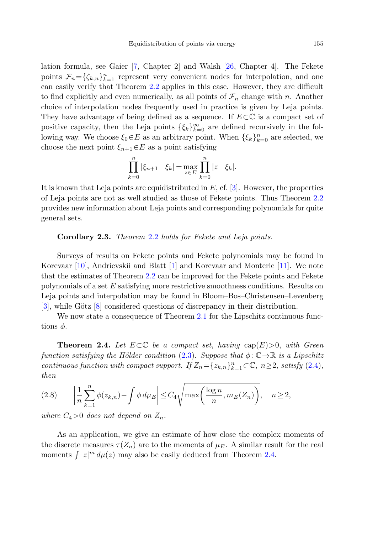lation formula, see Gaier [\[7](#page-23-6), Chapter 2] and Walsh [\[26](#page-24-5), Chapter 4]. The Fekete points  $\mathcal{F}_n = {\zeta_{k,n}}_{k=1}^n$  represent very convenient nodes for interpolation, and one can easily verify that Theorem [2.2](#page-5-3) applies in this case. However, they are difficult to find explicitly and even numerically, as all points of  $\mathcal{F}_n$  change with n. Another choice of interpolation nodes frequently used in practice is given by Leja points. They have advantage of being defined as a sequence. If  $E \subset \mathbb{C}$  is a compact set of positive capacity, then the Leja points  $\{\xi_k\}_{k=0}^{\infty}$  are defined recursively in the following way. We choose  $\xi_0 \in E$  as an arbitrary point. When  $\{\xi_k\}_{k=0}^n$  are selected, we choose the next point  $\xi_{n+1} \in E$  as a point satisfying

$$
\prod_{k=0}^{n} |\xi_{n+1} - \xi_k| = \max_{z \in E} \prod_{k=0}^{n} |z - \xi_k|.
$$

<span id="page-6-1"></span>It is known that Leja points are equidistributed in  $E$ , cf. [[3\]](#page-23-7). However, the properties of Leja points are not as well studied as those of Fekete points. Thus Theorem [2.2](#page-5-3) provides new information about Leja points and corresponding polynomials for quite general sets.

#### **Corollary 2***.***3.** Theorem [2.2](#page-5-3) holds for Fekete and Leja points.

<span id="page-6-0"></span>Surveys of results on Fekete points and Fekete polynomials may be found in Korevaar [\[10](#page-23-8)], Andrievskii and Blatt [\[1](#page-23-2)] and Korevaar and Monterie [\[11](#page-23-9)]. We note that the estimates of Theorem [2.2](#page-5-3) can be improved for the Fekete points and Fekete polynomials of a set E satisfying more restrictive smoothness conditions. Results on Leja points and interpolation may be found in Bloom–Bos–Christensen–Levenberg  $[3]$  $[3]$ , while Götz  $[8]$  $[8]$  considered questions of discrepancy in their distribution.

<span id="page-6-2"></span>We now state a consequence of Theorem [2.1](#page-4-0) for the Lipschitz continuous functions  $\phi$ .

**Theorem 2.4.** Let  $E \subset \mathbb{C}$  be a compact set, having  $cap(E) > 0$ , with Green function satisfying the Hölder condition ([2.3](#page-5-0)). Suppose that  $\phi: \mathbb{C} \to \mathbb{R}$  is a Lipschitz continuous function with compact support. If  $Z_n = \{z_{k,n}\}_{k=1}^n \subset \mathbb{C}, n \geq 2$ , satisfy  $(2.4)$ , then

$$
(2.8) \qquad \left|\frac{1}{n}\sum_{k=1}^{n}\phi(z_{k,n})-\int\phi\,d\mu_E\right|\leq C_4\sqrt{\max\left(\frac{\log n}{n},m_E(Z_n)\right)},\quad n\geq 2,
$$

where  $C_4>0$  does not depend on  $Z_n$ .

As an application, we give an estimate of how close the complex moments of the discrete measures  $\tau(Z_n)$  are to the moments of  $\mu_E$ . A similar result for the real moments  $\int |z|^m d\mu(z)$  may also be easily deduced from Theorem [2.4](#page-6-0).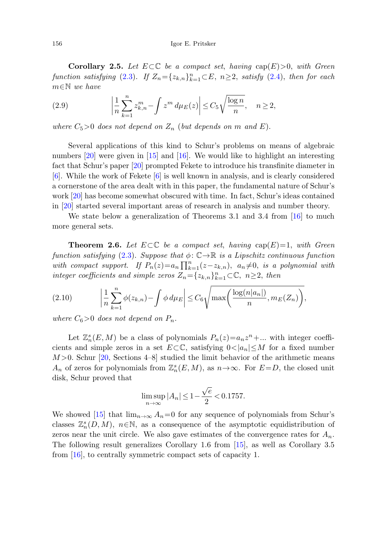<span id="page-7-1"></span><span id="page-7-0"></span>**Corollary 2.5.** Let  $E \subset \mathbb{C}$  be a compact set, having  $cap(E) > 0$ , with Green function satisfying [\(2.3](#page-5-0)). If  $Z_n = \{z_{k,n}\}_{k=1}^n \subset E$ ,  $n \ge 2$ , satisfy [\(2.4](#page-5-4)), then for each m∈N we have

(2.9) 
$$
\left|\frac{1}{n}\sum_{k=1}^n z_{k,n}^m - \int z^m d\mu_E(z)\right| \leq C_5 \sqrt{\frac{\log n}{n}}, \quad n \geq 2,
$$

where  $C_5>0$  does not depend on  $Z_n$  (but depends on m and E).

<span id="page-7-2"></span>Several applications of this kind to Schur's problems on means of algebraic numbers [[20\]](#page-24-6) were given in [[15](#page-23-11)] and [[16\]](#page-23-3). We would like to highlight an interesting fact that Schur's paper [\[20](#page-24-6)] prompted Fekete to introduce his transfinite diameter in [\[6](#page-23-0)]. While the work of Fekete [\[6](#page-23-0)] is well known in analysis, and is clearly considered a cornerstone of the area dealt with in this paper, the fundamental nature of Schur's work [[20\]](#page-24-6) has become somewhat obscured with time. In fact, Schur's ideas contained in [\[20\]](#page-24-6) started several important areas of research in analysis and number theory.

<span id="page-7-3"></span>We state below a generalization of Theorems 3.1 and 3.4 from  $[16]$  $[16]$  to much more general sets.

**Theorem 2.6.** Let  $E \subset \mathbb{C}$  be a compact set, having  $cap(E)=1$ , with Green function satisfying ([2.3\)](#page-5-0). Suppose that  $\phi: \mathbb{C} \to \mathbb{R}$  is a Lipschitz continuous function with compact support. If  $P_n(z) = a_n \prod_{k=1}^n (z-z_{k,n})$ ,  $a_n \neq 0$ , is a polynomial with integer coefficients and simple zeros  $Z_n = \{z_{k,n}\}_{k=1}^n \subset \mathbb{C}, n \geq 2$ , then

$$
(2.10) \qquad \left|\frac{1}{n}\sum_{k=1}^n \phi(z_{k,n}) - \int \phi \, d\mu_E\right| \le C_6 \sqrt{\max\left(\frac{\log(n|a_n|)}{n}, m_E(Z_n)\right)},
$$

where  $C_6>0$  does not depend on  $P_n$ .

Let  $\mathbb{Z}_n^s(E,M)$  be a class of polynomials  $P_n(z)=a_nz^n+\dots$  with integer coefficients and simple zeros in a set  $E\subset\mathbb{C}$ , satisfying  $0<|a_n|\leq M$  for a fixed number  $M>0$ . Schur [\[20](#page-24-6), Sections 4–8] studied the limit behavior of the arithmetic means  $A_n$  of zeros for polynomials from  $\mathbb{Z}_n^s(E,M)$ , as  $n\to\infty$ . For  $E=D$ , the closed unit disk, Schur proved that

$$
\limsup_{n\to\infty}|A_n|\leq 1-\frac{\sqrt{e}}{2}<0.1757.
$$

We showed [[15\]](#page-23-11) that  $\lim_{n\to\infty} A_n=0$  for any sequence of polynomials from Schur's classes  $\mathbb{Z}_{n}^{s}(D,M)$ ,  $n \in \mathbb{N}$ , as a consequence of the asymptotic equidistribution of zeros near the unit circle. We also gave estimates of the convergence rates for  $A_n$ . The following result generalizes Corollary 1.6 from [[15\]](#page-23-11), as well as Corollary 3.5 from [[16\]](#page-23-3), to centrally symmetric compact sets of capacity 1.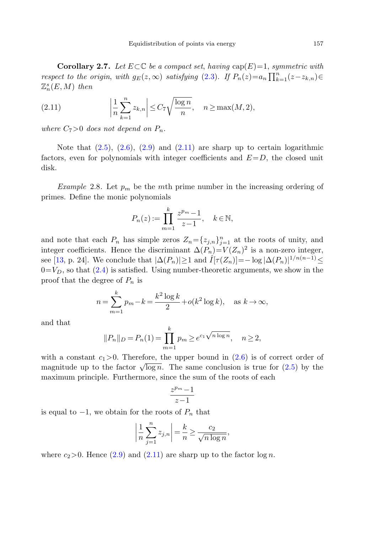<span id="page-8-1"></span><span id="page-8-0"></span>**Corollary 2.7.** Let  $E \subset \mathbb{C}$  be a compact set, having  $cap(E)=1$ , symmetric with respect to the origin, with  $g_E(z,\infty)$  satisfying ([2.3](#page-5-0)). If  $P_n(z)=a_n \prod_{k=1}^n (z-z_{k,n})\in$  $\mathbb{Z}_{n}^{s}(E,M)$  then

(2.11) 
$$
\left|\frac{1}{n}\sum_{k=1}^{n}z_{k,n}\right| \leq C_7\sqrt{\frac{\log n}{n}}, \quad n \geq \max(M, 2),
$$

<span id="page-8-2"></span>where  $C_7>0$  does not depend on  $P_n$ .

Note that  $(2.5)$  $(2.5)$ ,  $(2.6)$ ,  $(2.9)$  $(2.9)$  and  $(2.11)$  $(2.11)$  are sharp up to certain logarithmic factors, even for polynomials with integer coefficients and  $E=D$ , the closed unit disk.

*Example 2.8.* Let  $p_m$  be the mth prime number in the increasing ordering of primes. Define the monic polynomials

$$
P_n(z) := \prod_{m=1}^k \frac{z^{p_m} - 1}{z - 1}, \quad k \in \mathbb{N},
$$

and note that each  $P_n$  has simple zeros  $Z_n = \{z_{j,n}\}_{j=1}^n$  at the roots of unity, and integer coefficients. Hence the discriminant  $\Delta(P_n)=V(Z_n)^2$  is a non-zero integer, see [\[13](#page-23-12), p. 24]. We conclude that  $|\Delta(P_n)| \ge 1$  and  $\hat{I}[\tau(Z_n)] = -\log |\Delta(P_n)|^{1/n(n-1)} \le$  $0=V_D$ , so that ([2.4\)](#page-5-4) is satisfied. Using number-theoretic arguments, we show in the proof that the degree of  $P_n$  is

$$
n = \sum_{m=1}^{k} p_m - k = \frac{k^2 \log k}{2} + o(k^2 \log k), \text{ as } k \to \infty,
$$

and that

$$
||P_n||_D = P_n(1) = \prod_{m=1}^k p_m \ge e^{c_1 \sqrt{n \log n}}, \quad n \ge 2,
$$

with a constant  $c_1>0$ . Therefore, the upper bound in  $(2.6)$  $(2.6)$  is of correct order of magnitude up to the factor  $\sqrt{\log n}$ . The same conclusion is true for ([2.5](#page-5-1)) by the maximum principle. Furthermore, since the sum of the roots of each

$$
\frac{z^{p_m}-1}{z-1}
$$

is equal to  $-1$ , we obtain for the roots of  $P_n$  that

$$
\left|\frac{1}{n}\sum_{j=1}^{n}z_{j,n}\right| = \frac{k}{n} \ge \frac{c_2}{\sqrt{n\log n}},
$$

where  $c_2>0$ . Hence  $(2.9)$  $(2.9)$  $(2.9)$  and  $(2.11)$  $(2.11)$  are sharp up to the factor  $\log n$ .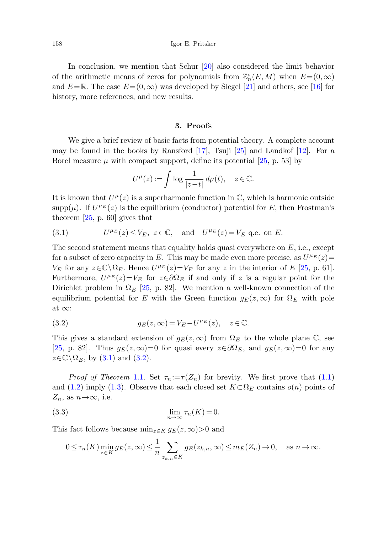In conclusion, we mention that Schur [[20\]](#page-24-6) also considered the limit behavior of the arithmetic means of zeros for polynomials from  $\mathbb{Z}_n^s(E,M)$  when  $E= (0,\infty)$ and  $E=\mathbb{R}$ . The case  $E=(0,\infty)$  was developed by Siegel [[21\]](#page-24-7) and others, see [[16\]](#page-23-3) for history, more references, and new results.

### **3. Proofs**

<span id="page-9-1"></span>We give a brief review of basic facts from potential theory. A complete account may be found in the books by Ransford [\[17](#page-24-2)], Tsuji [[25\]](#page-24-1) and Landkof [[12\]](#page-23-1). For a Borel measure  $\mu$  with compact support, define its potential [\[25](#page-24-1), p. 53] by

$$
U^{\mu}(z) := \int \log \frac{1}{|z - t|} \, d\mu(t), \quad z \in \mathbb{C}.
$$

It is known that  $U^{\mu}(z)$  is a superharmonic function in  $\mathbb{C}$ , which is harmonic outside  $\text{supp}(\mu)$ . If  $U^{\mu_E}(z)$  is the equilibrium (conductor) potential for E, then Frostman's theorem [\[25](#page-24-1), p. 60] gives that

(3.1) 
$$
U^{\mu_E}(z) \le V_E, \ z \in \mathbb{C}, \text{ and } U^{\mu_E}(z) = V_E \text{ q.e. on } E.
$$

<span id="page-9-0"></span>The second statement means that equality holds quasi everywhere on  $E$ , i.e., except for a subset of zero capacity in E. This may be made even more precise, as  $U^{\mu}E(z)=$  $V_E$  for any  $z\in\overline{\mathbb{C}}\setminus\overline{\Omega}_E$ . Hence  $U^{\mu_E}(z)=V_E$  for any z in the interior of E [\[25](#page-24-1), p. 61]. Furthermore,  $U^{\mu_E}(z)=V_E$  for  $z\in\partial\Omega_E$  if and only if z is a regular point for the Dirichlet problem in  $\Omega_E$  [[25,](#page-24-1) p. 82]. We mention a well-known connection of the equilibrium potential for E with the Green function  $g_E(z,\infty)$  for  $\Omega_E$  with pole at ∞:

(3.2) 
$$
g_E(z,\infty) = V_E - U^{\mu_E}(z), \quad z \in \mathbb{C}.
$$

<span id="page-9-2"></span>This gives a standard extension of  $g_E(z,\infty)$  from  $\Omega_E$  to the whole plane  $\mathbb{C}$ , see [\[25](#page-24-1), p. 82]. Thus  $g_E(z,\infty)=0$  for quasi every  $z\in\partial\Omega_E$ , and  $g_E(z,\infty)=0$  for any  $z \in \overline{\mathbb{C}} \setminus \overline{\Omega}_E$ , by ([3.1](#page-9-1)) and ([3.2](#page-9-0)).

*Proof of Theorem* [1.1](#page-2-3). Set  $\tau_n := \tau(Z_n)$  for brevity. We first prove that [\(1.1\)](#page-2-2) and ([1.2\)](#page-2-0) imply [\(1.3](#page-2-1)). Observe that each closed set  $K \subset \Omega_E$  contains  $o(n)$  points of  $Z_n$ , as  $n\rightarrow\infty$ , i.e.

(3.3) 
$$
\lim_{n \to \infty} \tau_n(K) = 0.
$$

This fact follows because  $\min_{z \in K} g_E(z, \infty) > 0$  and

$$
0 \le \tau_n(K) \min_{z \in K} g_E(z, \infty) \le \frac{1}{n} \sum_{z_{k,n} \in K} g_E(z_{k,n}, \infty) \le m_E(Z_n) \to 0, \quad \text{as } n \to \infty.
$$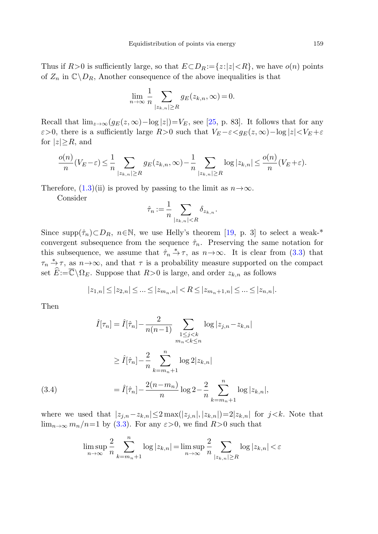Thus if  $R>0$  is sufficiently large, so that  $E\subset D_R:=\{z:|z|< R\}$ , we have  $o(n)$  points of  $Z_n$  in  $\mathbb{C}\setminus D_R$ , Another consequence of the above inequalities is that

$$
\lim_{n \to \infty} \frac{1}{n} \sum_{|z_{k,n}| \ge R} g_E(z_{k,n}, \infty) = 0.
$$

Recall that  $\lim_{z\to\infty}(g_E(z,\infty)-\log|z|)=V_E$ , see [[25,](#page-24-1) p. 83]. It follows that for any  $\varepsilon > 0$ , there is a sufficiently large  $R>0$  such that  $V_E - \varepsilon < g_E(z, \infty) - \log|z| < V_E + \varepsilon$ for  $|z|\geq R$ , and

$$
\frac{o(n)}{n}(V_E - \varepsilon) \le \frac{1}{n} \sum_{|z_{k,n}| \ge R} g_E(z_{k,n}, \infty) - \frac{1}{n} \sum_{|z_{k,n}| \ge R} \log |z_{k,n}| \le \frac{o(n)}{n}(V_E + \varepsilon).
$$

Therefore,  $(1.3)$ (ii) is proved by passing to the limit as  $n\rightarrow\infty$ .

Consider

$$
\hat{\tau}_n := \frac{1}{n} \sum_{|z_{k,n}| < R} \delta_{z_{k,n}}.
$$

<span id="page-10-0"></span>Since supp $(\hat{\tau}_n) \subset D_R$ ,  $n \in \mathbb{N}$ , we use Helly's theorem [[19,](#page-24-8) p. 3] to select a weak-\* convergent subsequence from the sequence  $\hat{\tau}_n$ . Preserving the same notation for this subsequence, we assume that  $\hat{\tau}_n \stackrel{*}{\to} \tau$ , as  $n \to \infty$ . It is clear from [\(3.3\)](#page-9-2) that  $\tau_n \stackrel{*}{\rightarrow} \tau$ , as  $n \rightarrow \infty$ , and that  $\tau$  is a probability measure supported on the compact set  $\widehat{E}:=\overline{\mathbb{C}}\backslash\Omega_E$ . Suppose that  $R>0$  is large, and order  $z_{k,n}$  as follows

$$
|z_{1,n}| \leq |z_{2,n}| \leq \ldots \leq |z_{m_n,n}| < R \leq |z_{m_n+1,n}| \leq \ldots \leq |z_{n,n}|.
$$

Then

$$
\hat{I}[\tau_n] = \hat{I}[\hat{\tau}_n] - \frac{2}{n(n-1)} \sum_{\substack{1 \le j < k \\ m_n < k \le n}} \log |z_{j,n} - z_{k,n}|
$$
\n
$$
\ge \hat{I}[\hat{\tau}_n] - \frac{2}{n} \sum_{k=m_n+1}^n \log 2|z_{k,n}|
$$
\n
$$
= \hat{I}[\hat{\tau}_n] - \frac{2(n-m_n)}{n} \log 2 - \frac{2}{n} \sum_{k=m_n+1}^n \log |z_{k,n}|,
$$
\n(3.4)

where we used that  $|z_{j,n}-z_{k,n}|\leq 2 \max(|z_{j,n}|, |z_{k,n}|)=2|z_{k,n}|$  for  $j < k$ . Note that  $\lim_{n\to\infty} m_n/n=1$  by [\(3.3](#page-9-2)). For any  $\varepsilon>0$ , we find  $R>0$  such that

$$
\limsup_{n \to \infty} \frac{2}{n} \sum_{k=m_n+1}^n \log |z_{k,n}| = \limsup_{n \to \infty} \frac{2}{n} \sum_{|z_{k,n}| \ge R} \log |z_{k,n}| < \varepsilon
$$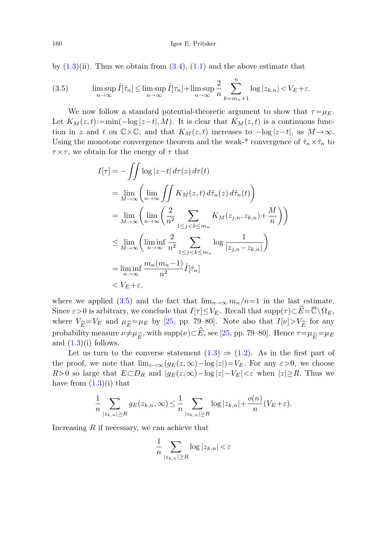<span id="page-11-0"></span>by  $(1.3)(ii)$  $(1.3)(ii)$ . Thus we obtain from  $(3.4)$  $(3.4)$  $(3.4)$ ,  $(1.1)$  $(1.1)$  and the above estimate that

(3.5) 
$$
\limsup_{n \to \infty} \hat{I}[\hat{\tau}_n] \le \limsup_{n \to \infty} \hat{I}[\tau_n] + \limsup_{n \to \infty} \frac{2}{n} \sum_{k=m_n+1}^n \log |z_{k,n}| < V_E + \varepsilon.
$$

We now follow a standard potential-theoretic argument to show that  $\tau = \mu_E$ . Let  $K_M(z,t) := \min(-\log|z-t|, M)$ . It is clear that  $K_M(z,t)$  is a continuous function in z and t on  $\mathbb{C}\times\mathbb{C}$ , and that  $K_M(z,t)$  increases to  $-\log|z-t|$ , as  $M\to\infty$ . Using the monotone convergence theorem and the weak-\* convergence of  $\hat{\tau}_n \times \hat{\tau}_n$  to  $\tau \times \tau$ , we obtain for the energy of  $\tau$  that

$$
I[\tau] = -\iint \log |z - t| d\tau(z) d\tau(t)
$$
  
\n
$$
= \lim_{M \to \infty} \left( \lim_{n \to \infty} \iint K_M(z, t) d\hat{\tau}_n(z) d\hat{\tau}_n(t) \right)
$$
  
\n
$$
= \lim_{M \to \infty} \left( \lim_{n \to \infty} \left( \frac{2}{n^2} \sum_{1 \le j < k \le m_n} K_M(z_{j,n}, z_{k,n}) + \frac{M}{n} \right) \right)
$$
  
\n
$$
\le \lim_{M \to \infty} \left( \liminf_{n \to \infty} \frac{2}{n^2} \sum_{1 \le j < k \le m_n} \log \frac{1}{|z_{j,n} - z_{k,n}|} \right)
$$
  
\n
$$
= \liminf_{n \to \infty} \frac{m_n(m_n - 1)}{n^2} \hat{I}[\hat{\tau}_n]
$$
  
\n
$$
< V_E + \varepsilon,
$$

where we applied ([3.5](#page-11-0)) and the fact that  $\lim_{n\to\infty} m_n/n=1$  in the last estimate. Since  $\varepsilon > 0$  is arbitrary, we conclude that  $I[\tau] \leq V_E$ . Recall that  $\text{supp}(\tau) \subset \widehat{E} = \overline{\mathbb{C}} \setminus \Omega_E$ , where  $V_{\widehat{E}}=V_E$  and  $\mu_{\widehat{E}}=\mu_E$  by [\[25](#page-24-1), pp. 79–80]. Note also that  $I[\nu]>V_{\widehat{E}}$  for any probability measure  $\nu \neq \mu_{\widehat{E}}$ , with  $\text{supp}(\nu) \subset \widehat{E}$ , see [\[25](#page-24-1), pp. 79–80]. Hence  $\tau = \mu_{\widehat{E}} = \mu_E$ and  $(1.3)(i)$  $(1.3)(i)$  $(1.3)(i)$  follows.

Let us turn to the converse statement  $(1.3) \Rightarrow (1.2)$  $(1.3) \Rightarrow (1.2)$  $(1.3) \Rightarrow (1.2)$ . As in the first part of the proof, we note that  $\lim_{z\to\infty}(g_E(z,\infty)-\log|z|)=V_E$ . For any  $\varepsilon>0$ , we choose R>0 so large that  $E \subset D_R$  and  $|g_E(z, \infty) - \log |z| - V_E \leq \varepsilon$  when  $|z| \geq R$ . Thus we have from  $(1.3)(i)$  $(1.3)(i)$  that

$$
\frac{1}{n}\sum_{|z_{k,n}|\geq R} g_E(z_{k,n},\infty) \leq \frac{1}{n}\sum_{|z_{k,n}|\geq R} \log |z_{k,n}| + \frac{o(n)}{n}(V_E + \varepsilon).
$$

Increasing  $R$  if necessary, we can achieve that

$$
\frac{1}{n}\sum_{|z_{k,n}|\geq R}\log|z_{k,n}|<\varepsilon
$$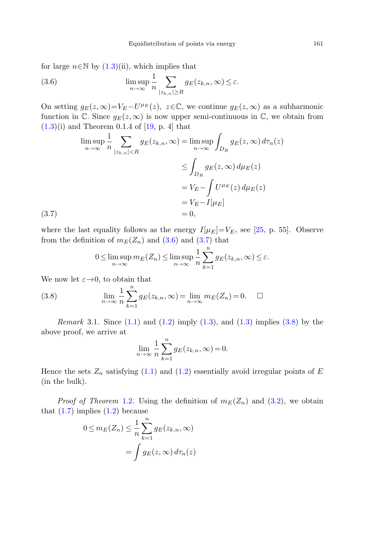<span id="page-12-1"></span><span id="page-12-0"></span>for large  $n \in \mathbb{N}$  by  $(1.3)(ii)$  $(1.3)(ii)$ , which implies that

(3.6) 
$$
\limsup_{n \to \infty} \frac{1}{n} \sum_{|z_{k,n}| \ge R} g_E(z_{k,n}, \infty) \le \varepsilon.
$$

On setting  $g_E(z,\infty)=V_E-U^{\mu_E}(z), z\in\mathbb{C}$ , we continue  $g_E(z,\infty)$  as a subharmonic function in  $\mathbb C$ . Since  $g_E(z,\infty)$  is now upper semi-continuous in  $\mathbb C$ , we obtain from  $(1.3)(i)$  $(1.3)(i)$  and Theorem 0.1.4 of [\[19](#page-24-8), p. 4] that

$$
\limsup_{n \to \infty} \frac{1}{n} \sum_{|z_{k,n}| < R} g_E(z_{k,n}, \infty) = \limsup_{n \to \infty} \int_{D_R} g_E(z, \infty) d\tau_n(z)
$$

$$
\leq \int_{D_R} g_E(z, \infty) d\mu_E(z)
$$

$$
= V_E - \int U^{\mu_E}(z) d\mu_E(z)
$$

$$
= V_E - I[\mu_E]
$$
(3.7)  
(3.7)

<span id="page-12-2"></span>where the last equality follows as the energy  $I[\mu_E]=V_E$ , see [\[25](#page-24-1), p. 55]. Observe from the definition of  $m_E(Z_n)$  and ([3.6\)](#page-12-0) and [\(3.7\)](#page-12-1) that

$$
0 \leq \limsup_{n \to \infty} m_E(Z_n) \leq \limsup_{n \to \infty} \frac{1}{n} \sum_{k=1}^n g_E(z_{k,n}, \infty) \leq \varepsilon.
$$

We now let  $\varepsilon \rightarrow 0$ , to obtain that

(3.8) 
$$
\lim_{n \to \infty} \frac{1}{n} \sum_{k=1}^{n} g_E(z_{k,n}, \infty) = \lim_{n \to \infty} m_E(Z_n) = 0. \quad \Box
$$

*Remark* 3.1. Since  $(1.1)$  $(1.1)$  $(1.1)$  and  $(1.2)$  $(1.2)$  imply  $(1.3)$  $(1.3)$ , and  $(1.3)$  $(1.3)$  $(1.3)$  implies  $(3.8)$  by the above proof, we arrive at

$$
\lim_{n \to \infty} \frac{1}{n} \sum_{k=1}^{n} g_E(z_{k,n}, \infty) = 0.
$$

Hence the sets  $Z_n$  satisfying ([1.1\)](#page-2-2) and [\(1.2](#page-2-0)) essentially avoid irregular points of E (in the bulk).

*Proof of Theorem* [1.2](#page-3-1). Using the definition of  $m_E(Z_n)$  and  $(3.2)$  $(3.2)$ , we obtain that  $(1.7)$  $(1.7)$  implies  $(1.2)$  $(1.2)$  $(1.2)$  because

$$
0 \le m_E(Z_n) \le \frac{1}{n} \sum_{k=1}^n g_E(z_{k,n}, \infty)
$$

$$
= \int g_E(z, \infty) d\tau_n(z)
$$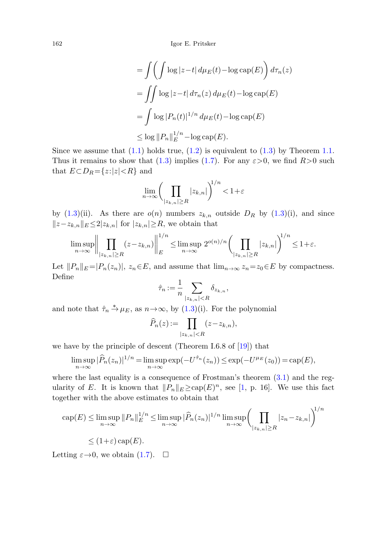162 Igor E. Pritsker

$$
= \int \left( \int \log |z - t| \, d\mu_E(t) - \log \text{cap}(E) \right) d\tau_n(z)
$$
  
= 
$$
\int \int \log |z - t| \, d\tau_n(z) \, d\mu_E(t) - \log \text{cap}(E)
$$
  
= 
$$
\int \log |P_n(t)|^{1/n} \, d\mu_E(t) - \log \text{cap}(E)
$$
  

$$
\leq \log ||P_n||_E^{1/n} - \log \text{cap}(E).
$$

Since we assume that  $(1.1)$  $(1.1)$  holds true,  $(1.2)$  $(1.2)$  is equivalent to  $(1.3)$  by Theorem [1.1.](#page-2-3) Thus it remains to show that ([1.3](#page-2-1)) implies ([1.7](#page-3-0)). For any  $\varepsilon > 0$ , we find  $R > 0$  such that  $E \subset D_R = \{z : |z| < R\}$  and

$$
\lim_{n \to \infty} \left( \prod_{|z_{k,n}| \ge R} |z_{k,n}| \right)^{1/n} < 1 + \varepsilon
$$

by ([1.3](#page-2-1))(ii). As there are  $o(n)$  numbers  $z_{k,n}$  outside  $D_R$  by (1.3)(i), and since  $||z-z_{k,n}||_E \leq 2|z_{k,n}|$  for  $|z_{k,n}| \geq R$ , we obtain that

$$
\limsup_{n\to\infty}\left\|\prod_{|z_{k,n}|\geq R}(z-z_{k,n})\right\|_{E}^{1/n}\leq \limsup_{n\to\infty}2^{o(n)/n}\left(\prod_{|z_{k,n}|\geq R}|z_{k,n}|\right)^{1/n}\leq 1+\varepsilon.
$$

Let  $||P_n||_E = |P_n(z_n)|$ ,  $z_n \in E$ , and assume that  $\lim_{n\to\infty} z_n = z_0 \in E$  by compactness. Define

$$
\hat{\tau}_n := \frac{1}{n} \sum_{|z_{k,n}| < R} \delta_{z_{k,n}},
$$

and note that  $\hat{\tau}_n \stackrel{*}{\rightarrow} \mu_E$ , as  $n \rightarrow \infty$ , by [\(1.3](#page-2-1))(i). For the polynomial

$$
\widehat{P}_n(z) := \prod_{|z_{k,n}| < R} (z - z_{k,n}),
$$

we have by the principle of descent (Theorem I.6.8 of [\[19](#page-24-8)]) that

$$
\limsup_{n \to \infty} |\widehat{P}_n(z_n)|^{1/n} = \limsup_{n \to \infty} \exp(-U^{\widehat{\tau}_n}(z_n)) \le \exp(-U^{\mu_E}(z_0)) = \exp(E),
$$

where the last equality is a consequence of Frostman's theorem  $(3.1)$  $(3.1)$  $(3.1)$  and the regularity of E. It is known that  $||P_n||_E \geq cap(E)^n$ , see [\[1](#page-23-2), p. 16]. We use this fact together with the above estimates to obtain that

$$
\operatorname{cap}(E) \le \limsup_{n \to \infty} ||P_n||_E^{1/n} \le \limsup_{n \to \infty} |\widehat{P}_n(z_n)|^{1/n} \limsup_{n \to \infty} \left(\prod_{|z_{k,n}| \ge R} |z_n - z_{k,n}|\right)^{1/n}
$$
  

$$
\le (1+\varepsilon) \operatorname{cap}(E).
$$

Letting  $\varepsilon \rightarrow 0$ , we obtain  $(1.7)$ .  $\Box$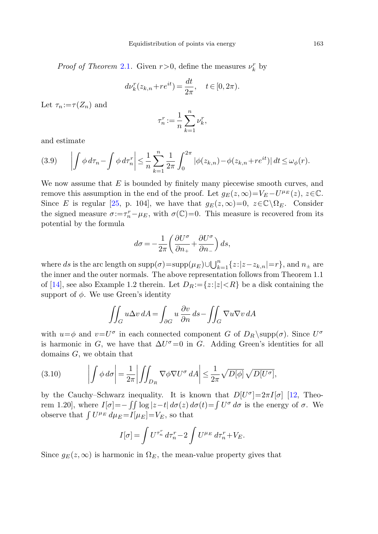*Proof of Theorem [2.1](#page-4-0).* Given  $r > 0$ , define the measures  $\nu_k^r$  by

$$
d\nu_k^r(z_{k,n} + re^{it}) = \frac{dt}{2\pi}, \quad t \in [0, 2\pi).
$$

<span id="page-14-0"></span>Let  $\tau_n := \tau(Z_n)$  and

$$
\tau_n^r := \frac{1}{n} \sum_{k=1}^n \nu_k^r,
$$

and estimate

$$
(3.9) \qquad \left| \int \phi \, d\tau_n - \int \phi \, d\tau_n^r \right| \leq \frac{1}{n} \sum_{k=1}^n \frac{1}{2\pi} \int_0^{2\pi} |\phi(z_{k,n}) - \phi(z_{k,n} + re^{it})| \, dt \leq \omega_{\phi}(r).
$$

We now assume that  $E$  is bounded by finitely many piecewise smooth curves, and remove this assumption in the end of the proof. Let  $g_E(z, \infty)=V_E-U^{\mu_E}(z), z\in\mathbb{C}$ . Since E is regular [\[25](#page-24-1), p. 104], we have that  $g_E(z,\infty)=0$ ,  $z\in\mathbb{C}\backslash\Omega_E$ . Consider the signed measure  $\sigma:=\tau_n^r-\mu_E$ , with  $\sigma(\mathbb{C})=0$ . This measure is recovered from its potential by the formula

$$
d\sigma = -\frac{1}{2\pi} \left( \frac{\partial U^{\sigma}}{\partial n_+} + \frac{\partial U^{\sigma}}{\partial n_-} \right) ds,
$$

where ds is the arc length on  $\text{supp}(\sigma) = \text{supp}(\mu_E) \cup \bigcup_{k=1}^n \{z : |z - z_{k,n}| = r\}$ , and  $n_{\pm}$  are the inner and the outer normals. The above representation follows from Theorem 1.1 of [\[14](#page-23-13)], see also Example 1.2 therein. Let  $D_R := \{z : |z| < R\}$  be a disk containing the support of  $\phi$ . We use Green's identity

$$
\iint_G u\Delta v \, dA = \int_{\partial G} u \, \frac{\partial v}{\partial n} \, ds - \iint_G \nabla u \nabla v \, dA
$$

<span id="page-14-1"></span>with  $u=\phi$  and  $v=U^{\sigma}$  in each connected component G of  $D_R \supp(\sigma)$ . Since  $U^{\sigma}$ is harmonic in G, we have that  $\Delta U^{\sigma}=0$  in G. Adding Green's identities for all domains  $G$ , we obtain that

(3.10) 
$$
\left| \int \phi \, d\sigma \right| = \frac{1}{2\pi} \left| \int \int_{D_R} \nabla \phi \nabla U^{\sigma} \, dA \right| \leq \frac{1}{2\pi} \sqrt{D[\phi]} \sqrt{D[U^{\sigma}]},
$$

by the Cauchy–Schwarz inequality. It is known that  $D[U^{\sigma}]=2\pi I[\sigma]$  [\[12](#page-23-1), Theorem 1.20], where  $I[\sigma] = -\iint \log |z-t| d\sigma(z) d\sigma(t) = \int U^{\sigma} d\sigma$  is the energy of  $\sigma$ . We observe that  $\int U^{\mu_E} d\mu_E = I[\mu_E] = V_E$ , so that

$$
I[\sigma] = \int U^{\tau_n^r} d\tau_n^r - 2 \int U^{\mu} E d\tau_n^r + V_E.
$$

Since  $g_E(z,\infty)$  is harmonic in  $\Omega_E$ , the mean-value property gives that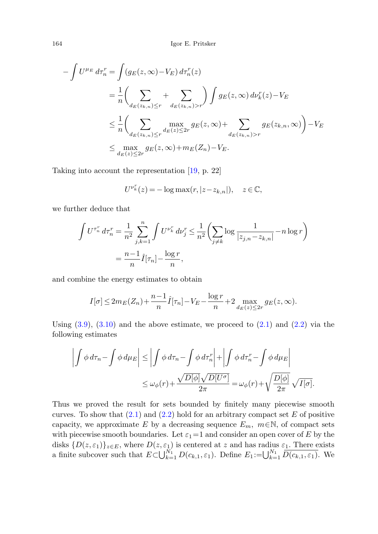$$
-\int U^{\mu_E} d\tau_n^r = \int (g_E(z, \infty) - V_E) d\tau_n^r(z)
$$
  

$$
= \frac{1}{n} \left( \sum_{d_E(z_{k,n}) \le r} + \sum_{d_E(z_{k,n}) > r} \right) \int g_E(z, \infty) d\nu_k^r(z) - V_E
$$
  

$$
\le \frac{1}{n} \left( \sum_{d_E(z_{k,n}) \le r} \max_{d_E(z) \le 2r} g_E(z, \infty) + \sum_{d_E(z_{k,n}) > r} g_E(z_{k,n}, \infty) \right) - V_E
$$
  

$$
\le \max_{d_E(z) \le 2r} g_E(z, \infty) + m_E(Z_n) - V_E.
$$

Taking into account the representation [[19,](#page-24-8) p. 22]

$$
U^{\nu_k^r}(z) = -\log \max(r, |z - z_{k,n}|), \quad z \in \mathbb{C},
$$

we further deduce that

$$
\int U^{\tau_n^r} d\tau_n^r = \frac{1}{n^2} \sum_{j,k=1}^n \int U^{\nu_k^r} d\nu_j^r \le \frac{1}{n^2} \left( \sum_{j \neq k} \log \frac{1}{|z_{j,n} - z_{k,n}|} - n \log r \right)
$$

$$
= \frac{n-1}{n} \hat{I}[\tau_n] - \frac{\log r}{n},
$$

and combine the energy estimates to obtain

$$
I[\sigma] \leq 2m_E(Z_n) + \frac{n-1}{n}\hat{I}[\tau_n] - V_E - \frac{\log r}{n} + 2 \max_{d_E(z) \leq 2r} g_E(z, \infty).
$$

Using  $(3.9)$ ,  $(3.10)$  $(3.10)$  and the above estimate, we proceed to  $(2.1)$  and  $(2.2)$  $(2.2)$  via the following estimates

$$
\left| \int \phi \, d\tau_n - \int \phi \, d\mu_E \right| \le \left| \int \phi \, d\tau_n - \int \phi \, d\tau_n^r \right| + \left| \int \phi \, d\tau_n^r - \int \phi \, d\mu_E \right|
$$
  

$$
\le \omega_\phi(r) + \frac{\sqrt{D[\phi]} \sqrt{D[U^\sigma]}}{2\pi} = \omega_\phi(r) + \sqrt{\frac{D[\phi]}{2\pi}} \sqrt{I[\sigma]}.
$$

Thus we proved the result for sets bounded by finitely many piecewise smooth curves. To show that  $(2.1)$  and  $(2.2)$  hold for an arbitrary compact set E of positive capacity, we approximate E by a decreasing sequence  $E_m$ ,  $m \in \mathbb{N}$ , of compact sets with piecewise smooth boundaries. Let  $\varepsilon_1=1$  and consider an open cover of E by the disks  $\{D(z,\varepsilon_1)\}_{z\in E}$ , where  $D(z,\varepsilon_1)$  is centered at z and has radius  $\varepsilon_1$ . There exists a finite subcover such that  $E\subset\bigcup_{k=1}^{N_1}D(c_{k,1},\varepsilon_1)$ . Define  $E_1:=\bigcup_{k=1}^{N_1}\overline{D(c_{k,1},\varepsilon_1)}$ . We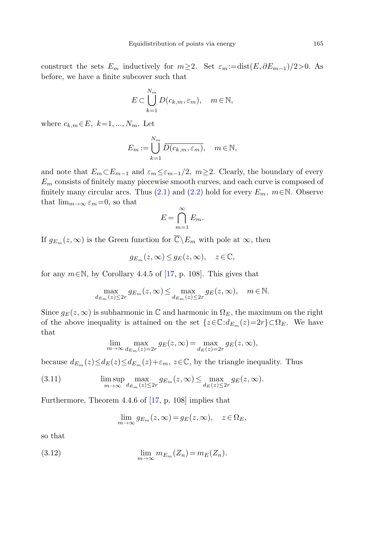construct the sets  $E_m$  inductively for  $m \geq 2$ . Set  $\varepsilon_m := \text{dist}(E, \partial E_{m-1})/2 > 0$ . As before, we have a finite subcover such that

$$
E \subset \bigcup_{k=1}^{N_m} D(c_{k,m}, \varepsilon_m), \quad m \in \mathbb{N},
$$

where  $c_{k,m} \in E$ ,  $k=1,...,N_m$ . Let

$$
E_m := \bigcup_{k=1}^{N_m} \overline{D(c_{k,m}, \varepsilon_m)}, \quad m \in \mathbb{N},
$$

and note that  $E_m \subset E_{m-1}$  and  $\varepsilon_m \leq \varepsilon_{m-1}/2$ ,  $m \geq 2$ . Clearly, the boundary of every  $E<sub>m</sub>$  consists of finitely many piecewise smooth curves, and each curve is composed of finitely many circular arcs. Thus ([2.1](#page-4-1)) and ([2.2](#page-4-2)) hold for every  $E_m$ ,  $m \in \mathbb{N}$ . Observe that  $\lim_{m\to\infty} \varepsilon_m=0$ , so that

$$
E = \bigcap_{m=1}^{\infty} E_m.
$$

If  $g_{E_m}(z,\infty)$  is the Green function for  $\overline{\mathbb{C}}\backslash E_m$  with pole at  $\infty$ , then

$$
g_{E_m}(z,\infty) \le g_E(z,\infty), \quad z \in \mathbb{C},
$$

for any  $m \in \mathbb{N}$ , by Corollary 4.4.5 of [\[17](#page-24-2), p. 108]. This gives that

$$
\max_{d_{E_m}(z)\leq 2r} g_{E_m}(z,\infty)\leq \max_{d_{E_m}(z)\leq 2r} g_E(z,\infty),\quad m\in\mathbb{N}.
$$

<span id="page-16-0"></span>Since  $g_E(z,\infty)$  is subharmonic in  $\mathbb C$  and harmonic in  $\Omega_E$ , the maximum on the right of the above inequality is attained on the set  $\{z \in \mathbb{C} : d_{E_m}(z)=2r\} \subset \Omega_E$ . We have that

$$
\lim_{m \to \infty} \max_{d_{E_m}(z) = 2r} g_E(z, \infty) = \max_{d_E(z) = 2r} g_E(z, \infty),
$$

because  $d_{E_m}(z) \leq d_E(z) \leq d_{E_m}(z) + \varepsilon_m$ ,  $z \in \mathbb{C}$ , by the triangle inequality. Thus

(3.11) 
$$
\limsup_{m \to \infty} \max_{d_{E_m}(z) \leq 2r} g_{E_m}(z, \infty) \leq \max_{d_E(z) \leq 2r} g_E(z, \infty).
$$

Furthermore, Theorem 4.4.6 of [\[17,](#page-24-2) p. 108] implies that

$$
\lim_{m \to \infty} g_{E_m}(z, \infty) = g_E(z, \infty), \quad z \in \Omega_E,
$$

so that

(3.12) 
$$
\lim_{m \to \infty} m_{E_m}(Z_n) = m_E(Z_n).
$$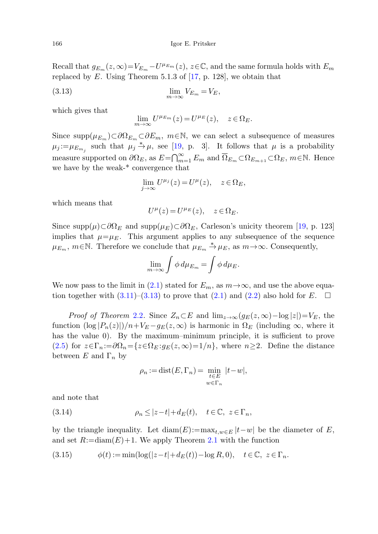Recall that  $g_{E_m}(z,\infty)=V_{E_m}-U^{\mu_{E_m}}(z), z\in\mathbb{C}$ , and the same formula holds with  $E_m$ replaced by  $E$ . Using Theorem 5.1.3 of [\[17](#page-24-2), p. 128], we obtain that

$$
\lim_{m \to \infty} V_{E_m} = V_E,
$$

which gives that

$$
\lim_{m \to \infty} U^{\mu_{E_m}}(z) = U^{\mu_E}(z), \quad z \in \Omega_E.
$$

Since supp $(\mu_{E_m}) \subset \partial \Omega_{E_m} \subset \partial E_m$ ,  $m \in \mathbb{N}$ , we can select a subsequence of measures  $\mu_j := \mu_{E_{m_i}}$  such that  $\mu_j \stackrel{*}{\rightarrow} \mu$ , see [[19,](#page-24-8) p. 3]. It follows that  $\mu$  is a probability measure supported on  $\partial\Omega_E$ , as  $E=\bigcap_{m=1}^{\infty} E_m$  and  $\overline{\Omega}_{E_m} \subset \Omega_{E_{m+1}} \subset \Omega_E$ ,  $m \in \mathbb{N}$ . Hence we have by the weak-\* convergence that

$$
\lim_{j \to \infty} U^{\mu_j}(z) = U^{\mu}(z), \quad z \in \Omega_E,
$$

which means that

$$
U^{\mu}(z) = U^{\mu_E}(z), \quad z \in \Omega_E.
$$

Since supp $(\mu) \subset \partial \Omega_E$  and supp $(\mu_E) \subset \partial \Omega_E$ , Carleson's unicity theorem [\[19](#page-24-8), p. 123] implies that  $\mu=\mu_E$ . This argument applies to any subsequence of the sequence  $\mu_{E_m}$ ,  $m \in \mathbb{N}$ . Therefore we conclude that  $\mu_{E_m} \stackrel{*}{\to} \mu_E$ , as  $m \to \infty$ . Consequently,

$$
\lim_{m \to \infty} \int \phi \, d\mu_{E_m} = \int \phi \, d\mu_E.
$$

We now pass to the limit in [\(2.1](#page-4-1)) stated for  $E_m$ , as  $m\rightarrow\infty$ , and use the above equation together with  $(3.11)$ – $(3.13)$  $(3.13)$  to prove that  $(2.1)$  $(2.1)$  and  $(2.2)$  also hold for E.  $\Box$ 

<span id="page-17-1"></span>*Proof of Theorem [2.2](#page-5-3).* Since  $Z_n \subset E$  and  $\lim_{z\to\infty} (g_E(z,\infty)-\log|z|)=V_E$ , the function  $(\log |P_n(z)|)/n+V_E-g_E(z,\infty)$  is harmonic in  $\Omega_E$  (including  $\infty$ , where it has the value 0). By the maximum–minimum principle, it is sufficient to prove ([2.5](#page-5-1)) for  $z \in \Gamma_n := \partial \Omega_n = \{z \in \Omega_E : g_E(z, \infty) = 1/n\}$ , where  $n \geq 2$ . Define the distance between  $E$  and  $\Gamma_n$  by

$$
\rho_n := \text{dist}(E, \Gamma_n) = \min_{\substack{t \in E \\ w \in \Gamma_n}} |t - w|,
$$

and note that

(3.14) 
$$
\rho_n \le |z - t| + d_E(t), \quad t \in \mathbb{C}, \ z \in \Gamma_n,
$$

by the triangle inequality. Let  $\text{diam}(E) := \max_{t,w \in E} |t-w|$  be the diameter of E, and set  $R:=\text{diam}(E)+1$ . We apply Theorem [2.1](#page-4-0) with the function

$$
(3.15) \qquad \phi(t) := \min(\log(|z-t| + d_E(t)) - \log R, 0), \quad t \in \mathbb{C}, \ z \in \Gamma_n.
$$

<span id="page-17-0"></span>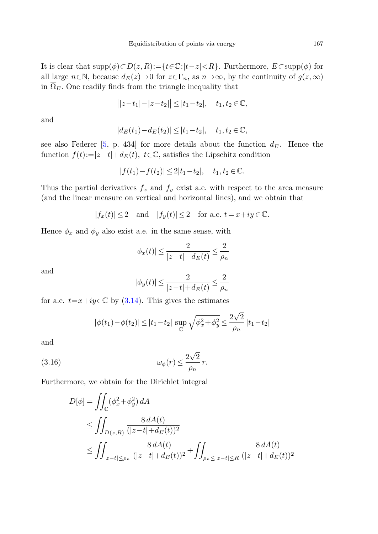It is clear that supp(φ)⊂D(z,R):={t∈C:|t−z|<R}. Furthermore, E⊂supp(φ) for all large  $n \in \mathbb{N}$ , because  $d_E(z) \to 0$  for  $z \in \Gamma_n$ , as  $n \to \infty$ , by the continuity of  $g(z, \infty)$ in  $\overline{\Omega}_E$ . One readily finds from the triangle inequality that

$$
||z-t_1|-|z-t_2|| \leq |t_1-t_2|, \quad t_1, t_2 \in \mathbb{C},
$$

and

$$
|d_E(t_1) - d_E(t_2)| \leq |t_1 - t_2|, \quad t_1, t_2 \in \mathbb{C},
$$

see also Federer [\[5](#page-23-14), p. 434] for more details about the function  $d_E$ . Hence the function  $f(t):=|z-t|+d_E(t)$ ,  $t\in\mathbb{C}$ , satisfies the Lipschitz condition

$$
|f(t_1)-f(t_2)| \le 2|t_1-t_2|, \quad t_1, t_2 \in \mathbb{C}.
$$

Thus the partial derivatives  $f_x$  and  $f_y$  exist a.e. with respect to the area measure (and the linear measure on vertical and horizontal lines), and we obtain that

$$
|f_x(t)|\leq 2 \quad \text{and} \quad |f_y(t)|\leq 2 \quad \text{for a.e. } t=x+iy \in \mathbb{C}.
$$

Hence  $\phi_x$  and  $\phi_y$  also exist a.e. in the same sense, with

$$
|\phi_x(t)| \leq \frac{2}{|z-t|+d_E(t)} \leq \frac{2}{\rho_n}
$$

and

$$
|\phi_y(t)| \leq \frac{2}{|z-t|+d_E(t)} \leq \frac{2}{\rho_n}
$$

<span id="page-18-0"></span>for a.e.  $t=x+iy\in\mathbb{C}$  by ([3.14\)](#page-17-1). This gives the estimates

$$
|\phi(t_1) - \phi(t_2)| \le |t_1 - t_2| \sup_{\mathbb{C}} \sqrt{\phi_x^2 + \phi_y^2} \le \frac{2\sqrt{2}}{\rho_n} |t_1 - t_2|
$$

and

(3.16) 
$$
\omega_{\phi}(r) \leq \frac{2\sqrt{2}}{\rho_n} r.
$$

Furthermore, we obtain for the Dirichlet integral

$$
D[\phi] = \iint_{\mathbb{C}} (\phi_x^2 + \phi_y^2) dA
$$
  
\n
$$
\leq \iint_{D(z,R)} \frac{8 dA(t)}{(|z-t| + d_E(t))^2}
$$
  
\n
$$
\leq \iint_{|z-t| \leq \rho_n} \frac{8 dA(t)}{(|z-t| + d_E(t))^2} + \iint_{\rho_n \leq |z-t| \leq R} \frac{8 dA(t)}{(|z-t| + d_E(t))^2}
$$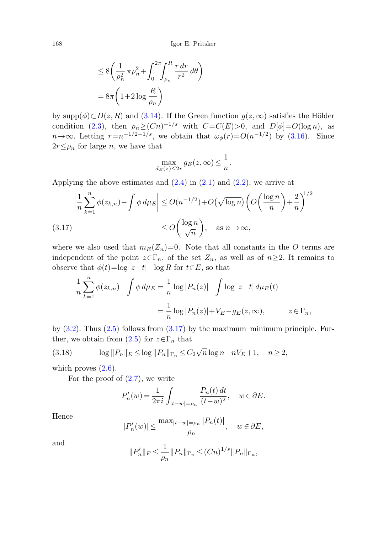$$
\leq 8 \left( \frac{1}{\rho_n^2} \pi \rho_n^2 + \int_0^{2\pi} \int_{\rho_n}^R \frac{r \, dr}{r^2} \, d\theta \right)
$$

$$
= 8\pi \left( 1 + 2 \log \frac{R}{\rho_n} \right)
$$

<span id="page-19-0"></span>by supp $(\phi) \subset D(z, R)$  and ([3.14](#page-17-1)). If the Green function  $g(z, \infty)$  satisfies the Hölder condition ([2.3](#page-5-0)), then  $\rho_n \geq (Cn)^{-1/s}$  with  $C=C(E)>0$ , and  $D[\phi]=O(\log n)$ , as  $n\rightarrow\infty$ . Letting  $r=n^{-1/2-1/s}$ , we obtain that  $\omega_{\phi}(r)=O(n^{-1/2})$  by ([3.16\)](#page-18-0). Since  $2r \leq \rho_n$  for large *n*, we have that

$$
\max_{d_E(z) \le 2r} g_E(z, \infty) \le \frac{1}{n}.
$$

Applying the above estimates and  $(2.4)$  $(2.4)$  in  $(2.1)$  $(2.1)$  $(2.1)$  and  $(2.2)$  $(2.2)$ , we arrive at

$$
\left| \frac{1}{n} \sum_{k=1}^{n} \phi(z_{k,n}) - \int \phi \, d\mu_E \right| \le O(n^{-1/2}) + O(\sqrt{\log n}) \left( O\left(\frac{\log n}{n}\right) + \frac{2}{n} \right)^{1/2}
$$
\n
$$
\le O\left(\frac{\log n}{\sqrt{n}}\right), \quad \text{as } n \to \infty,
$$
\n(3.17)

<span id="page-19-1"></span>where we also used that  $m_E(Z_n)=0$ . Note that all constants in the O terms are independent of the point  $z \in \Gamma_n$ , of the set  $Z_n$ , as well as of  $n \geq 2$ . It remains to observe that  $\phi(t)=\log|z-t|-\log R$  for  $t\in E$ , so that

$$
\frac{1}{n} \sum_{k=1}^{n} \phi(z_{k,n}) - \int \phi \, d\mu_E = \frac{1}{n} \log |P_n(z)| - \int \log |z - t| \, d\mu_E(t)
$$

$$
= \frac{1}{n} \log |P_n(z)| + V_E - g_E(z, \infty), \qquad z \in \Gamma_n,
$$

by  $(3.2)$ . Thus  $(2.5)$  $(2.5)$  $(2.5)$  follows from  $(3.17)$  $(3.17)$  by the maximum–minimum principle. Further, we obtain from  $(2.5)$  $(2.5)$  $(2.5)$  for  $z \in \Gamma_n$  that

(3.18) 
$$
\log ||P_n||_E \le \log ||P_n||_{\Gamma_n} \le C_2 \sqrt{n} \log n - nV_E + 1, \quad n \ge 2,
$$

which proves  $(2.6)$  $(2.6)$ .

For the proof of  $(2.7)$  $(2.7)$ , we write

$$
P_n'(w)=\frac{1}{2\pi i}\int_{|t-w|=\rho_n}\frac{P_n(t)\,dt}{(t-w)^2},\quad w\in\partial E.
$$

Hence

$$
|P'_n(w)| \le \frac{\max_{|t-w|= \rho_n} |P_n(t)|}{\rho_n}, \quad w \in \partial E,
$$

and

$$
||P'_n||_E \le \frac{1}{\rho_n} ||P_n||_{\Gamma_n} \le (Cn)^{1/s} ||P_n||_{\Gamma_n},
$$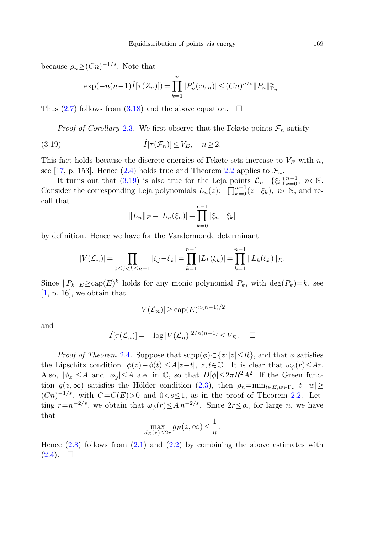<span id="page-20-0"></span>because  $\rho_n$ > $(Cn)^{-1/s}$ . Note that

$$
\exp(-n(n-1)\hat{I}[\tau(Z_n)]) = \prod_{k=1}^n |P'_n(z_{k,n})| \le (Cn)^{n/s} ||P_n||_{\Gamma_n}^n.
$$

Thus ([2.7](#page-5-5)) follows from ([3.18](#page-19-1)) and the above equation.  $\Box$ 

*Proof of Corollary [2.3](#page-6-1).* We first observe that the Fekete points  $\mathcal{F}_n$  satisfy

(3.19) 
$$
\hat{I}[\tau(\mathcal{F}_n)] \leq V_E, \quad n \geq 2.
$$

This fact holds because the discrete energies of Fekete sets increase to  $V_E$  with n, see [\[17](#page-24-2), p. 153]. Hence [\(2.4](#page-5-4)) holds true and Theorem [2.2](#page-4-2) applies to  $\mathcal{F}_n$ .

It turns out that ([3.19](#page-20-0)) is also true for the Leja points  $\mathcal{L}_n = {\{\xi_k\}}_{k=0}^{n-1}$ ,  $n \in \mathbb{N}$ . Consider the corresponding Leja polynomials  $L_n(z) := \prod_{k=0}^{n-1} (z - \xi_k)$ ,  $n \in \mathbb{N}$ , and recall that

$$
||L_n||_E = |L_n(\xi_n)| = \prod_{k=0}^{n-1} |\xi_n - \xi_k|
$$

by definition. Hence we have for the Vandermonde determinant

$$
|V(\mathcal{L}_n)| = \prod_{0 \le j < k \le n-1} |\xi_j - \xi_k| = \prod_{k=1}^{n-1} |L_k(\xi_k)| = \prod_{k=1}^{n-1} ||L_k(\xi_k)||_E.
$$

Since  $||P_k||_E \geq \text{cap}(E)^k$  holds for any monic polynomial  $P_k$ , with  $\text{deg}(P_k)=k$ , see [\[1](#page-23-2), p. 16], we obtain that

$$
|V(\mathcal{L}_n)| \ge \text{cap}(E)^{n(n-1)/2}
$$

and

$$
\hat{I}[\tau(\mathcal{L}_n)] = -\log |V(\mathcal{L}_n)|^{2/n(n-1)} \le V_E. \quad \Box
$$

*Proof of Theorem* [2.4](#page-6-0). Suppose that  $supp(\phi) \subset \{z: |z| \leq R\}$ , and that  $\phi$  satisfies the Lipschitz condition  $|\phi(z)-\phi(t)|\leq A|z-t|, z,t\in\mathbb{C}$ . It is clear that  $\omega_{\phi}(r)\leq Ar$ . Also,  $|\phi_x| \leq A$  and  $|\phi_y| \leq A$  a.e. in  $\mathbb{C}$ , so that  $D[\phi] \leq 2\pi R^2 A^2$ . If the Green function  $g(z,\infty)$  satisfies the Hölder condition [\(2.3\)](#page-5-0), then  $\rho_n=\min_{t\in E,w\in\Gamma_n}|t-w|\geq$  $(Cn)^{-1/s}$ , with  $C=C(E)>0$  and  $0 < s \leq 1$ , as in the proof of Theorem [2.2.](#page-5-3) Letting  $r=n^{-2/s}$ , we obtain that  $\omega_{\phi}(r) \leq A n^{-2/s}$ . Since  $2r \leq \rho_n$  for large n, we have that

$$
\max_{d_E(z) \le 2r} g_E(z, \infty) \le \frac{1}{n}.
$$

Hence  $(2.8)$  follows from  $(2.1)$  $(2.1)$  and  $(2.2)$  $(2.2)$  $(2.2)$  by combining the above estimates with  $(2.4). \square$  $(2.4). \square$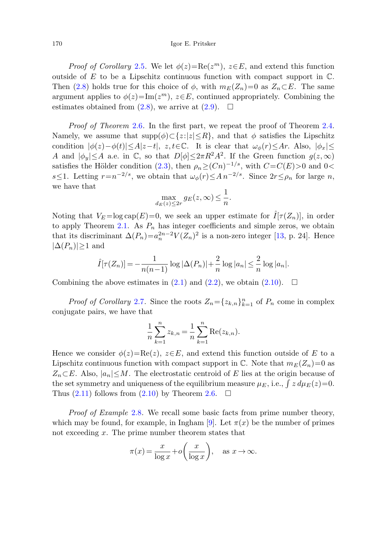*Proof of Corollary [2.5](#page-7-1).* We let  $\phi(z) = \text{Re}(z^m)$ ,  $z \in E$ , and extend this function outside of  $E$  to be a Lipschitz continuous function with compact support in  $\mathbb{C}$ . Then [\(2.8\)](#page-6-2) holds true for this choice of  $\phi$ , with  $m_E(Z_n)=0$  as  $Z_n\subset E$ . The same argument applies to  $\phi(z)$ =Im( $z^m$ ),  $z \in E$ , continued appropriately. Combining the estimates obtained from  $(2.8)$  $(2.8)$ , we arrive at  $(2.9)$  $(2.9)$  $(2.9)$ .  $\Box$ 

Proof of Theorem [2.6](#page-7-2). In the first part, we repeat the proof of Theorem [2.4.](#page-6-0) Namely, we assume that  $supp(\phi) \subset \{z: |z| \leq R\}$ , and that  $\phi$  satisfies the Lipschitz condition  $|\phi(z)-\phi(t)|\leq A|z-t|$ ,  $z,t\in\mathbb{C}$ . It is clear that  $\omega_{\phi}(r)\leq Ar$ . Also,  $|\phi_x|\leq$ A and  $|\phi_y| \leq A$  a.e. in C, so that  $D[\phi] \leq 2\pi R^2 A^2$ . If the Green function  $g(z,\infty)$ satisfies the Hölder condition [\(2.3\)](#page-5-0), then  $\rho_n \geq (Cn)^{-1/s}$ , with  $C=C(E)>0$  and 0< s≤1. Letting  $r=n^{-2/s}$ , we obtain that  $\omega_{\phi}(r) \leq A n^{-2/s}$ . Since  $2r \leq \rho_n$  for large n, we have that

$$
\max_{d_E(z) \le 2r} g_E(z, \infty) \le \frac{1}{n}.
$$

Noting that  $V_E = \log \text{cap}(E) = 0$ , we seek an upper estimate for  $\hat{I}[\tau(Z_n)]$ , in order to apply Theorem [2.1](#page-4-0). As  $P_n$  has integer coefficients and simple zeros, we obtain that its discriminant  $\Delta(P_n)=a_n^{2n-2}V(Z_n)^2$  is a non-zero integer [\[13](#page-23-12), p. 24]. Hence  $|\Delta(P_n)|\geq 1$  and

$$
\hat{I}[\tau(Z_n)] = -\frac{1}{n(n-1)} \log |\Delta(P_n)| + \frac{2}{n} \log |a_n| \le \frac{2}{n} \log |a_n|.
$$

Combining the above estimates in  $(2.1)$  $(2.1)$  and  $(2.2)$ , we obtain  $(2.10)$  $(2.10)$ .  $\Box$ 

*Proof of Corollary [2.7](#page-8-1).* Since the roots  $Z_n = \{z_{k,n}\}_{k=1}^n$  of  $P_n$  come in complex conjugate pairs, we have that

$$
\frac{1}{n}\sum_{k=1}^{n}z_{k,n} = \frac{1}{n}\sum_{k=1}^{n}\text{Re}(z_{k,n}).
$$

Hence we consider  $\phi(z)=\text{Re}(z), z\in E$ , and extend this function outside of E to a Lipschitz continuous function with compact support in  $\mathbb C$ . Note that  $m_E(Z_n)=0$  as  $Z_n \subset E$ . Also,  $|a_n| \leq M$ . The electrostatic centroid of E lies at the origin because of the set symmetry and uniqueness of the equilibrium measure  $\mu_E$ , i.e.,  $\int z d\mu_E(z)=0$ . Thus  $(2.11)$  $(2.11)$  $(2.11)$  follows from  $(2.10)$  $(2.10)$  by Theorem [2.6](#page-7-2).  $\Box$ 

Proof of Example [2.8](#page-8-2). We recall some basic facts from prime number theory, which may be found, for example, in Ingham [[9\]](#page-23-15). Let  $\pi(x)$  be the number of primes not exceeding x. The prime number theorem states that

$$
\pi(x) = \frac{x}{\log x} + o\left(\frac{x}{\log x}\right), \quad \text{as } x \to \infty.
$$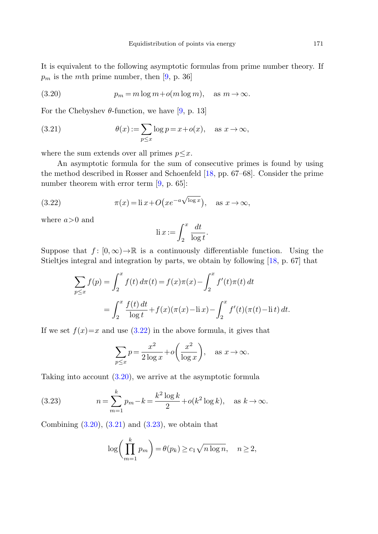<span id="page-22-2"></span><span id="page-22-1"></span>It is equivalent to the following asymptotic formulas from prime number theory. If  $p_m$  is the mth prime number, then [\[9](#page-23-15), p. 36]

(3.20) 
$$
p_m = m \log m + o(m \log m), \text{ as } m \to \infty.
$$

For the Chebyshev  $\theta$ -function, we have [\[9](#page-23-15), p. 13]

<span id="page-22-0"></span>(3.21) 
$$
\theta(x) := \sum_{p \le x} \log p = x + o(x), \quad \text{as } x \to \infty,
$$

where the sum extends over all primes  $p \leq x$ .

An asymptotic formula for the sum of consecutive primes is found by using the method described in Rosser and Schoenfeld [\[18](#page-24-9), pp. 67–68]. Consider the prime number theorem with error term [\[9](#page-23-15), p. 65]:

(3.22) 
$$
\pi(x) = \text{li } x + O\left(x e^{-a\sqrt{\log x}}\right), \quad \text{as } x \to \infty,
$$

where  $a>0$  and

$$
\operatorname{li} x := \int_2^x \frac{dt}{\log t}.
$$

Suppose that  $f : [0, \infty) \to \mathbb{R}$  is a continuously differentiable function. Using the Stieltjes integral and integration by parts, we obtain by following [\[18](#page-24-9), p. 67] that

$$
\sum_{p \le x} f(p) = \int_2^x f(t) d\pi(t) = f(x)\pi(x) - \int_2^x f'(t)\pi(t) dt
$$
  
= 
$$
\int_2^x \frac{f(t) dt}{\log t} + f(x)(\pi(x) - \text{li } x) - \int_2^x f'(t)(\pi(t) - \text{li } t) dt.
$$

<span id="page-22-3"></span>If we set  $f(x)=x$  and use  $(3.22)$  $(3.22)$  $(3.22)$  in the above formula, it gives that

$$
\sum_{p \le x} p = \frac{x^2}{2 \log x} + o\left(\frac{x^2}{\log x}\right), \quad \text{as } x \to \infty.
$$

Taking into account ([3.20](#page-22-1)), we arrive at the asymptotic formula

(3.23) 
$$
n = \sum_{m=1}^{k} p_m - k = \frac{k^2 \log k}{2} + o(k^2 \log k), \text{ as } k \to \infty.
$$

Combining  $(3.20)$  $(3.20)$ ,  $(3.21)$  $(3.21)$  $(3.21)$  and  $(3.23)$  $(3.23)$  $(3.23)$ , we obtain that

$$
\log\bigg(\prod_{m=1}^k p_m\bigg) = \theta(p_k) \ge c_1 \sqrt{n \log n}, \quad n \ge 2,
$$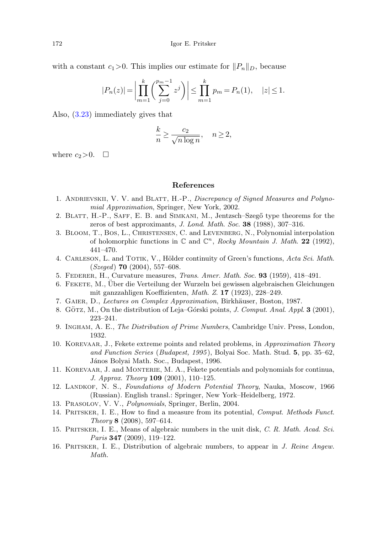with a constant  $c_1>0$ . This implies our estimate for  $||P_n||_D$ , because

$$
|P_n(z)| = \left| \prod_{m=1}^k \binom{p_m-1}{j=0} z^j \right| \le \prod_{m=1}^k p_m = P_n(1), \quad |z| \le 1.
$$

<span id="page-23-2"></span>Also, ([3.23](#page-22-3)) immediately gives that

$$
\frac{k}{n} \ge \frac{c_2}{\sqrt{n \log n}}, \quad n \ge 2,
$$

<span id="page-23-7"></span><span id="page-23-4"></span>where  $c_2>0$ .  $\Box$ 

## **References**

- <span id="page-23-14"></span><span id="page-23-5"></span>1. ANDRIEVSKII, V. V. and BLATT, H.-P., Discrepancy of Signed Measures and Polynomial Approximation, Springer, New York, 2002.
- <span id="page-23-0"></span>2. BLATT, H.-P., SAFF, E. B. and SIMKANI, M., Jentzsch–Szegő type theorems for the zeros of best approximants, J. Lond. Math. Soc. **38** (1988), 307–316.
- <span id="page-23-10"></span><span id="page-23-6"></span>3. Bloom, T., Bos, L., Christensen, C. and Levenberg, N., Polynomial interpolation of holomorphic functions in  $\mathbb{C}$  and  $\mathbb{C}^n$ , Rocky Mountain J. Math. **22** (1992), 441–470.
- <span id="page-23-15"></span>4. CARLESON, L. and TOTIK, V., Hölder continuity of Green's functions, Acta Sci. Math. (Szeged) **70** (2004), 557–608.
- <span id="page-23-8"></span>5. Federer, H., Curvature measures, Trans. Amer. Math. Soc. **93** (1959), 418–491.
- 6. Fekete, M., Uber die Verteilung der Wurzeln bei gewissen algebraischen Gleichungen ¨ mit ganzzahligen Koeffizienten, Math. Z. **17** (1923), 228–249.
- <span id="page-23-9"></span>7. GAIER, D., Lectures on Complex Approximation, Birkhäuser, Boston, 1987.
- <span id="page-23-1"></span>8. GÖTZ, M., On the distribution of Leja–Górski points, *J. Comput. Anal. Appl.* **3** (2001), 223–241.
- 9. Ingham, A. E., The Distribution of Prime Numbers, Cambridge Univ. Press, London, 1932.
- <span id="page-23-13"></span><span id="page-23-12"></span>10. Korevaar, J., Fekete extreme points and related problems, in Approximation Theory and Function Series (Budapest, 1995 ), Bolyai Soc. Math. Stud. **5**, pp. 35–62, János Bolyai Math. Soc., Budapest, 1996.
- <span id="page-23-11"></span><span id="page-23-3"></span>11. Korevaar, J. and Monterie, M. A., Fekete potentials and polynomials for continua, J. Approx. Theory **109** (2001), 110–125.
- 12. LANDKOF, N. S., Foundations of Modern Potential Theory, Nauka, Moscow, 1966 (Russian). English transl.: Springer, New York–Heidelberg, 1972.
- 13. Prasolov, V. V., Polynomials, Springer, Berlin, 2004.
- 14. PRITSKER, I. E., How to find a measure from its potential, Comput. Methods Funct. Theory **8** (2008), 597–614.
- 15. PRITSKER, I. E., Means of algebraic numbers in the unit disk, C. R. Math. Acad. Sci. Paris **347** (2009), 119–122.
- 16. Pritsker, I. E., Distribution of algebraic numbers, to appear in J. Reine Angew. Math.